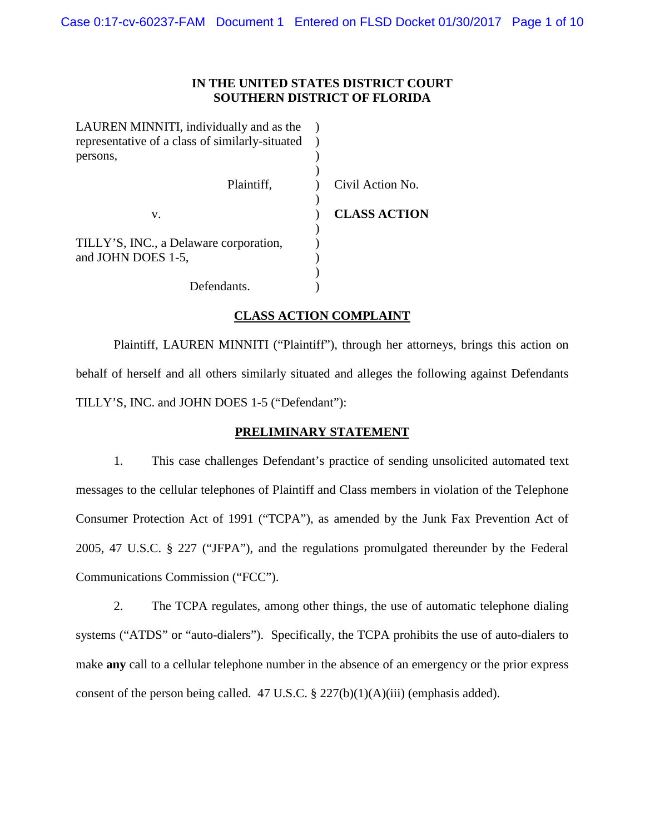#### **IN THE UNITED STATES DISTRICT COURT SOUTHERN DISTRICT OF FLORIDA**

| LAUREN MINNITI, individually and as the         |             |                     |
|-------------------------------------------------|-------------|---------------------|
| representative of a class of similarly-situated |             |                     |
| persons,                                        |             |                     |
|                                                 |             |                     |
|                                                 | Plaintiff,  | Civil Action No.    |
|                                                 |             |                     |
| V.                                              |             | <b>CLASS ACTION</b> |
|                                                 |             |                     |
| TILLY'S, INC., a Delaware corporation,          |             |                     |
| and JOHN DOES 1-5,                              |             |                     |
|                                                 |             |                     |
|                                                 | Defendants. |                     |
|                                                 |             |                     |

## **CLASS ACTION COMPLAINT**

Plaintiff, LAUREN MINNITI ("Plaintiff"), through her attorneys, brings this action on behalf of herself and all others similarly situated and alleges the following against Defendants TILLY'S, INC. and JOHN DOES 1-5 ("Defendant"):

#### **PRELIMINARY STATEMENT**

1. This case challenges Defendant's practice of sending unsolicited automated text messages to the cellular telephones of Plaintiff and Class members in violation of the Telephone Consumer Protection Act of 1991 ("TCPA"), as amended by the Junk Fax Prevention Act of 2005, 47 U.S.C. § 227 ("JFPA"), and the regulations promulgated thereunder by the Federal Communications Commission ("FCC").

2. The TCPA regulates, among other things, the use of automatic telephone dialing systems ("ATDS" or "auto-dialers"). Specifically, the TCPA prohibits the use of auto-dialers to make **any** call to a cellular telephone number in the absence of an emergency or the prior express consent of the person being called. 47 U.S.C.  $\S 227(b)(1)(A)(iii)$  (emphasis added).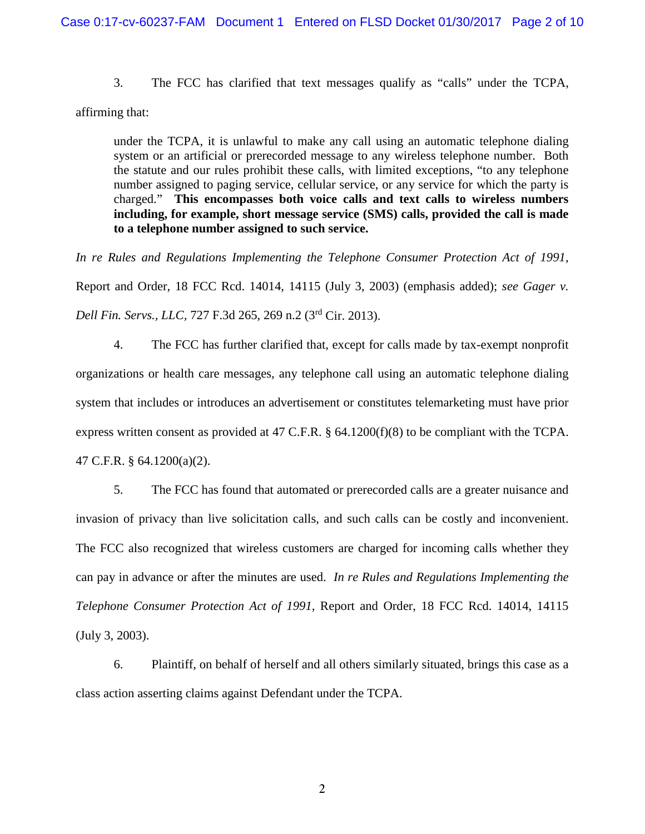3. The FCC has clarified that text messages qualify as "calls" under the TCPA,

affirming that:

under the TCPA, it is unlawful to make any call using an automatic telephone dialing system or an artificial or prerecorded message to any wireless telephone number. Both the statute and our rules prohibit these calls, with limited exceptions, "to any telephone number assigned to paging service, cellular service, or any service for which the party is charged." **This encompasses both voice calls and text calls to wireless numbers including, for example, short message service (SMS) calls, provided the call is made to a telephone number assigned to such service.**

*In re Rules and Regulations Implementing the Telephone Consumer Protection Act of 1991,* Report and Order, 18 FCC Rcd. 14014, 14115 (July 3, 2003) (emphasis added); *see Gager v. Dell Fin. Servs., LLC,* 727 F.3d 265, 269 n.2 (3rd Cir. 2013).

4. The FCC has further clarified that, except for calls made by tax-exempt nonprofit organizations or health care messages, any telephone call using an automatic telephone dialing system that includes or introduces an advertisement or constitutes telemarketing must have prior express written consent as provided at 47 C.F.R. § 64.1200(f)(8) to be compliant with the TCPA. 47 C.F.R. § 64.1200(a)(2).

5. The FCC has found that automated or prerecorded calls are a greater nuisance and invasion of privacy than live solicitation calls, and such calls can be costly and inconvenient. The FCC also recognized that wireless customers are charged for incoming calls whether they can pay in advance or after the minutes are used. *In re Rules and Regulations Implementing the Telephone Consumer Protection Act of 1991,* Report and Order, 18 FCC Rcd. 14014, 14115 (July 3, 2003).

6. Plaintiff, on behalf of herself and all others similarly situated, brings this case as a class action asserting claims against Defendant under the TCPA.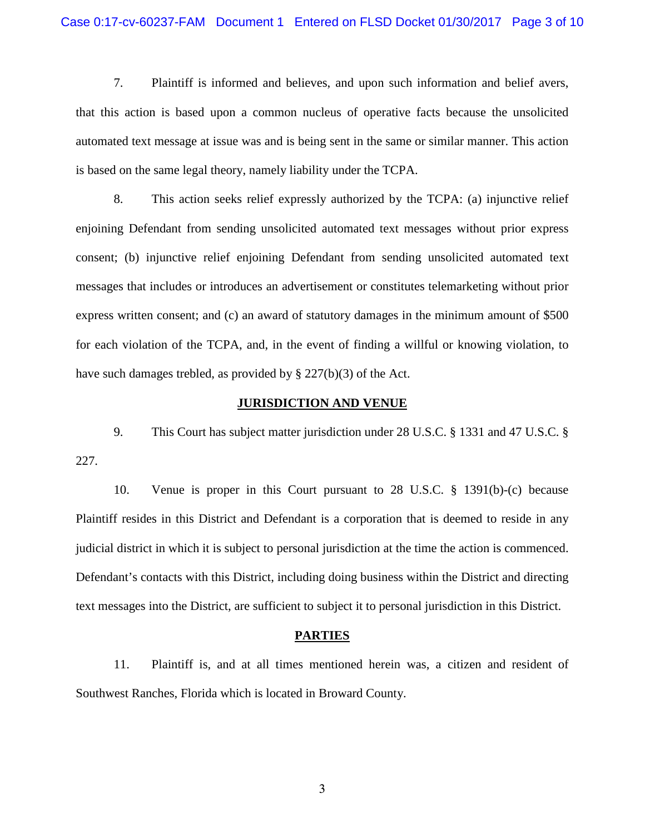7. Plaintiff is informed and believes, and upon such information and belief avers, that this action is based upon a common nucleus of operative facts because the unsolicited automated text message at issue was and is being sent in the same or similar manner. This action is based on the same legal theory, namely liability under the TCPA.

8. This action seeks relief expressly authorized by the TCPA: (a) injunctive relief enjoining Defendant from sending unsolicited automated text messages without prior express consent; (b) injunctive relief enjoining Defendant from sending unsolicited automated text messages that includes or introduces an advertisement or constitutes telemarketing without prior express written consent; and (c) an award of statutory damages in the minimum amount of \$500 for each violation of the TCPA, and, in the event of finding a willful or knowing violation, to have such damages trebled, as provided by § 227(b)(3) of the Act.

#### **JURISDICTION AND VENUE**

9. This Court has subject matter jurisdiction under 28 U.S.C. § 1331 and 47 U.S.C. § 227.

10. Venue is proper in this Court pursuant to 28 U.S.C. § 1391(b)-(c) because Plaintiff resides in this District and Defendant is a corporation that is deemed to reside in any judicial district in which it is subject to personal jurisdiction at the time the action is commenced. Defendant's contacts with this District, including doing business within the District and directing text messages into the District, are sufficient to subject it to personal jurisdiction in this District.

#### **PARTIES**

11. Plaintiff is, and at all times mentioned herein was, a citizen and resident of Southwest Ranches, Florida which is located in Broward County.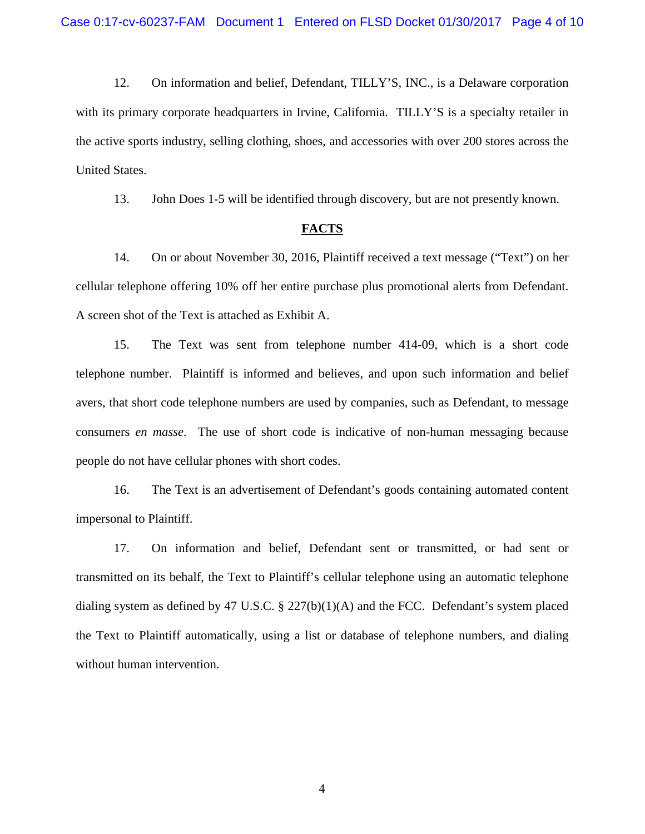12. On information and belief, Defendant, TILLY'S, INC., is a Delaware corporation with its primary corporate headquarters in Irvine, California. TILLY'S is a specialty retailer in the active sports industry, selling clothing, shoes, and accessories with over 200 stores across the United States.

13. John Does 1-5 will be identified through discovery, but are not presently known.

#### **FACTS**

14. On or about November 30, 2016, Plaintiff received a text message ("Text") on her cellular telephone offering 10% off her entire purchase plus promotional alerts from Defendant. A screen shot of the Text is attached as Exhibit A.

15. The Text was sent from telephone number 414-09, which is a short code telephone number. Plaintiff is informed and believes, and upon such information and belief avers, that short code telephone numbers are used by companies, such as Defendant, to message consumers *en masse*. The use of short code is indicative of non-human messaging because people do not have cellular phones with short codes.

16. The Text is an advertisement of Defendant's goods containing automated content impersonal to Plaintiff.

17. On information and belief, Defendant sent or transmitted, or had sent or transmitted on its behalf, the Text to Plaintiff's cellular telephone using an automatic telephone dialing system as defined by 47 U.S.C. § 227(b)(1)(A) and the FCC. Defendant's system placed the Text to Plaintiff automatically, using a list or database of telephone numbers, and dialing without human intervention.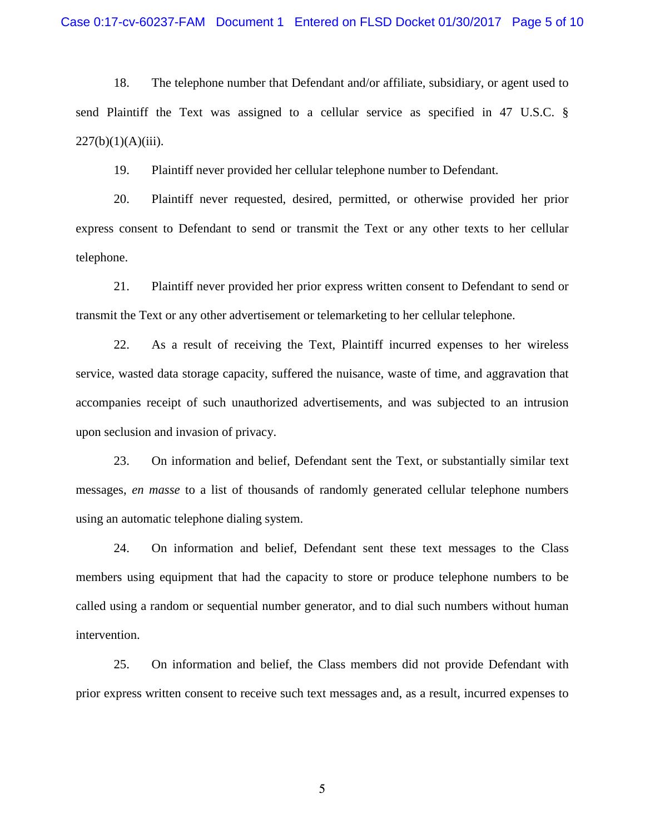18. The telephone number that Defendant and/or affiliate, subsidiary, or agent used to send Plaintiff the Text was assigned to a cellular service as specified in 47 U.S.C. §  $227(b)(1)(A)(iii)$ .

19. Plaintiff never provided her cellular telephone number to Defendant.

20. Plaintiff never requested, desired, permitted, or otherwise provided her prior express consent to Defendant to send or transmit the Text or any other texts to her cellular telephone.

21. Plaintiff never provided her prior express written consent to Defendant to send or transmit the Text or any other advertisement or telemarketing to her cellular telephone.

22. As a result of receiving the Text, Plaintiff incurred expenses to her wireless service, wasted data storage capacity, suffered the nuisance, waste of time, and aggravation that accompanies receipt of such unauthorized advertisements, and was subjected to an intrusion upon seclusion and invasion of privacy.

23. On information and belief, Defendant sent the Text, or substantially similar text messages, *en masse* to a list of thousands of randomly generated cellular telephone numbers using an automatic telephone dialing system.

24. On information and belief, Defendant sent these text messages to the Class members using equipment that had the capacity to store or produce telephone numbers to be called using a random or sequential number generator, and to dial such numbers without human intervention.

25. On information and belief, the Class members did not provide Defendant with prior express written consent to receive such text messages and, as a result, incurred expenses to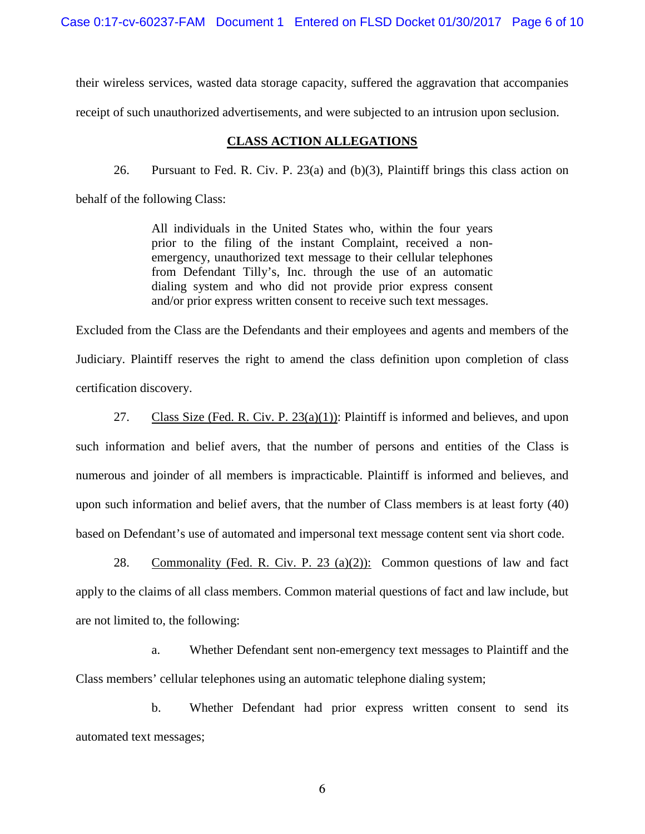Case 0:17-cv-60237-FAM Document 1 Entered on FLSD Docket 01/30/2017 Page 6 of 10

their wireless services, wasted data storage capacity, suffered the aggravation that accompanies receipt of such unauthorized advertisements, and were subjected to an intrusion upon seclusion.

#### **CLASS ACTION ALLEGATIONS**

26. Pursuant to Fed. R. Civ. P. 23(a) and (b)(3), Plaintiff brings this class action on behalf of the following Class:

> All individuals in the United States who, within the four years prior to the filing of the instant Complaint, received a nonemergency, unauthorized text message to their cellular telephones from Defendant Tilly's, Inc. through the use of an automatic dialing system and who did not provide prior express consent and/or prior express written consent to receive such text messages.

Excluded from the Class are the Defendants and their employees and agents and members of the Judiciary. Plaintiff reserves the right to amend the class definition upon completion of class certification discovery.

27. Class Size (Fed. R. Civ. P.  $23(a)(1)$ ): Plaintiff is informed and believes, and upon such information and belief avers, that the number of persons and entities of the Class is numerous and joinder of all members is impracticable. Plaintiff is informed and believes, and upon such information and belief avers, that the number of Class members is at least forty (40) based on Defendant's use of automated and impersonal text message content sent via short code.

28. Commonality (Fed. R. Civ. P. 23 (a)(2)): Common questions of law and fact apply to the claims of all class members. Common material questions of fact and law include, but are not limited to, the following:

a. Whether Defendant sent non-emergency text messages to Plaintiff and the Class members' cellular telephones using an automatic telephone dialing system;

b. Whether Defendant had prior express written consent to send its automated text messages;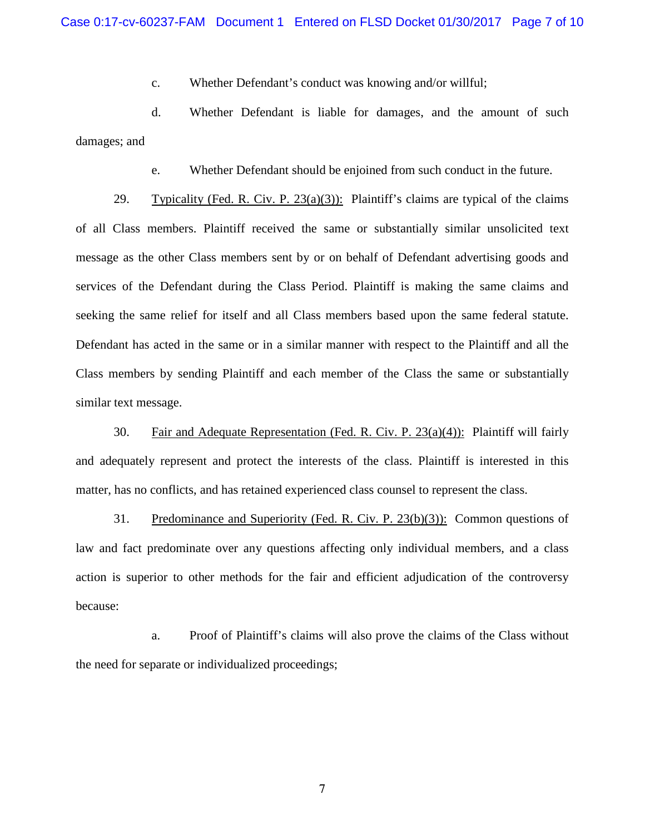c. Whether Defendant's conduct was knowing and/or willful;

d. Whether Defendant is liable for damages, and the amount of such damages; and

e. Whether Defendant should be enjoined from such conduct in the future.

29. Typicality (Fed. R. Civ. P.  $23(a)(3)$ ): Plaintiff's claims are typical of the claims of all Class members. Plaintiff received the same or substantially similar unsolicited text message as the other Class members sent by or on behalf of Defendant advertising goods and services of the Defendant during the Class Period. Plaintiff is making the same claims and seeking the same relief for itself and all Class members based upon the same federal statute. Defendant has acted in the same or in a similar manner with respect to the Plaintiff and all the Class members by sending Plaintiff and each member of the Class the same or substantially similar text message.

30. Fair and Adequate Representation (Fed. R. Civ. P. 23(a)(4)): Plaintiff will fairly and adequately represent and protect the interests of the class. Plaintiff is interested in this matter, has no conflicts, and has retained experienced class counsel to represent the class.

31. Predominance and Superiority (Fed. R. Civ. P. 23(b)(3)): Common questions of law and fact predominate over any questions affecting only individual members, and a class action is superior to other methods for the fair and efficient adjudication of the controversy because:

a. Proof of Plaintiff's claims will also prove the claims of the Class without the need for separate or individualized proceedings;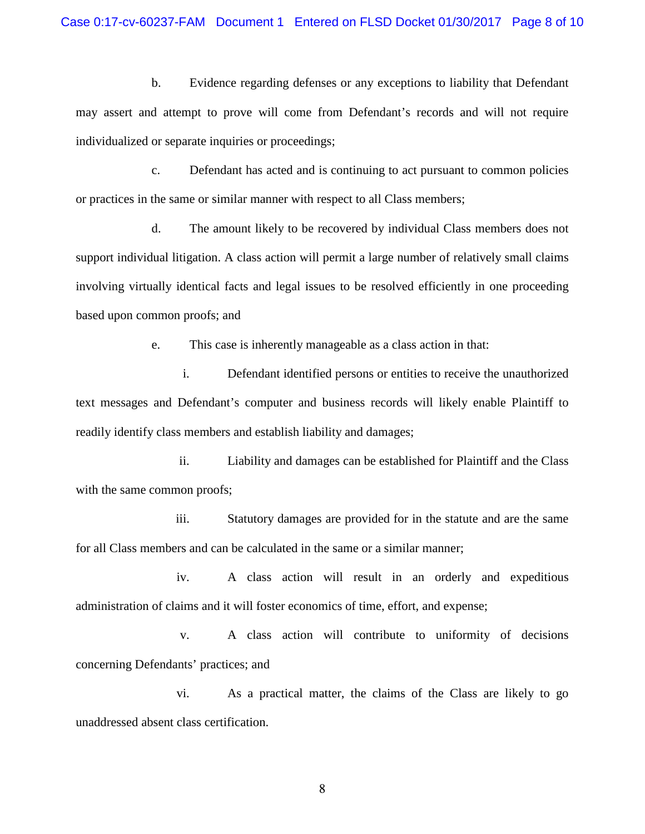#### Case 0:17-cv-60237-FAM Document 1 Entered on FLSD Docket 01/30/2017 Page 8 of 10

b. Evidence regarding defenses or any exceptions to liability that Defendant may assert and attempt to prove will come from Defendant's records and will not require individualized or separate inquiries or proceedings;

c. Defendant has acted and is continuing to act pursuant to common policies or practices in the same or similar manner with respect to all Class members;

d. The amount likely to be recovered by individual Class members does not support individual litigation. A class action will permit a large number of relatively small claims involving virtually identical facts and legal issues to be resolved efficiently in one proceeding based upon common proofs; and

e. This case is inherently manageable as a class action in that:

i. Defendant identified persons or entities to receive the unauthorized text messages and Defendant's computer and business records will likely enable Plaintiff to readily identify class members and establish liability and damages;

ii. Liability and damages can be established for Plaintiff and the Class with the same common proofs;

iii. Statutory damages are provided for in the statute and are the same for all Class members and can be calculated in the same or a similar manner;

iv. A class action will result in an orderly and expeditious administration of claims and it will foster economics of time, effort, and expense;

v. A class action will contribute to uniformity of decisions concerning Defendants' practices; and

vi. As a practical matter, the claims of the Class are likely to go unaddressed absent class certification.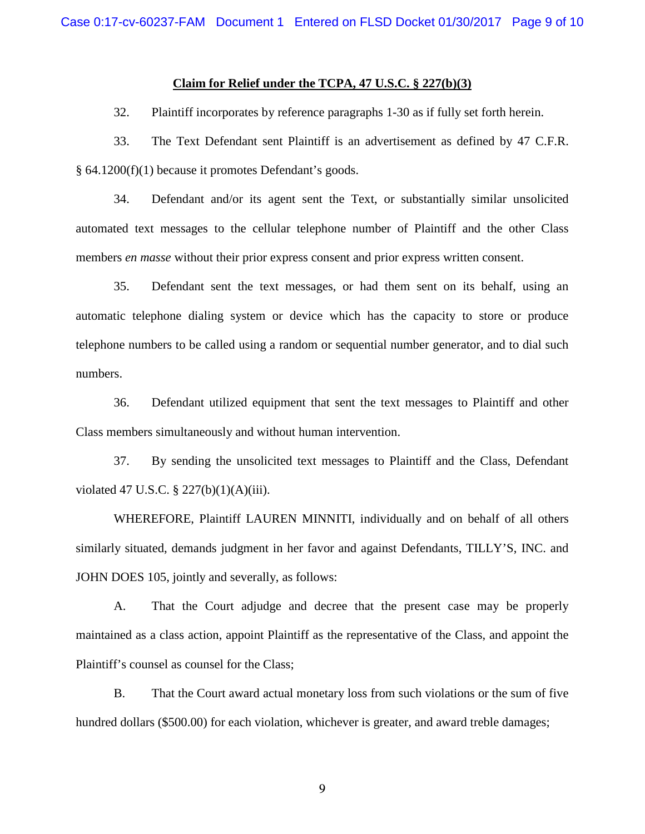#### **Claim for Relief under the TCPA, 47 U.S.C. § 227(b)(3)**

32. Plaintiff incorporates by reference paragraphs 1-30 as if fully set forth herein.

33. The Text Defendant sent Plaintiff is an advertisement as defined by 47 C.F.R. § 64.1200(f)(1) because it promotes Defendant's goods.

34. Defendant and/or its agent sent the Text, or substantially similar unsolicited automated text messages to the cellular telephone number of Plaintiff and the other Class members *en masse* without their prior express consent and prior express written consent.

35. Defendant sent the text messages, or had them sent on its behalf, using an automatic telephone dialing system or device which has the capacity to store or produce telephone numbers to be called using a random or sequential number generator, and to dial such numbers.

36. Defendant utilized equipment that sent the text messages to Plaintiff and other Class members simultaneously and without human intervention.

37. By sending the unsolicited text messages to Plaintiff and the Class, Defendant violated 47 U.S.C. § 227(b)(1)(A)(iii).

WHEREFORE, Plaintiff LAUREN MINNITI, individually and on behalf of all others similarly situated, demands judgment in her favor and against Defendants, TILLY'S, INC. and JOHN DOES 105, jointly and severally, as follows:

A. That the Court adjudge and decree that the present case may be properly maintained as a class action, appoint Plaintiff as the representative of the Class, and appoint the Plaintiff's counsel as counsel for the Class;

B. That the Court award actual monetary loss from such violations or the sum of five hundred dollars (\$500.00) for each violation, whichever is greater, and award treble damages;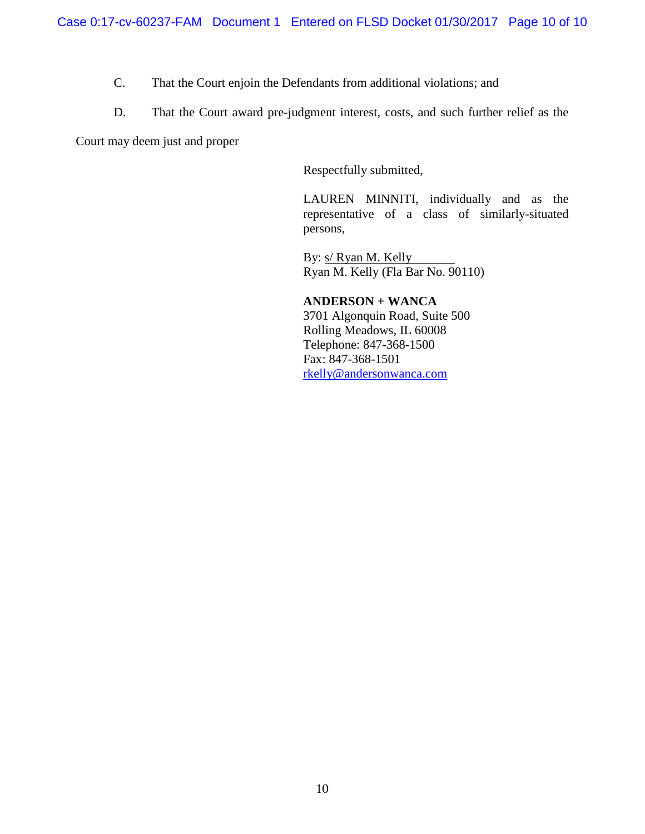- C. That the Court enjoin the Defendants from additional violations; and
- D. That the Court award pre-judgment interest, costs, and such further relief as the

Court may deem just and proper

Respectfully submitted,

LAUREN MINNITI, individually and as the representative of a class of similarly-situated persons,

By: s/ Ryan M. Kelly Ryan M. Kelly (Fla Bar No. 90110)

**ANDERSON + WANCA** 3701 Algonquin Road, Suite 500 Rolling Meadows, IL 60008 Telephone: 847-368-1500 Fax: 847-368-1501 rkelly@andersonwanca.com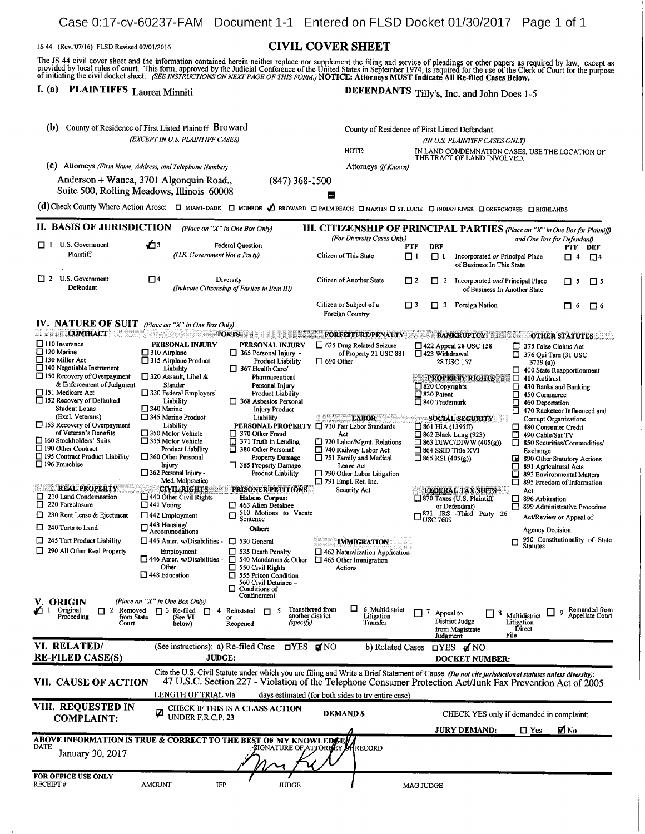Case 0:17-cv-60237-FAM Document 1-1 Entered on FLSD Docket 01/30/2017 Page 1 of 1

#### JS 44 (Rev. 07/16) FLSD Revised 07/01/2016 CIVIL COVER SHEET

The JS 44 civil cover sheet and the information contained herein neither replace nor supplement the filing and service of pleadings or other papers as required by law, except as provided by local rules of court. This form,

# I. (a) PLAINTIFFS Lauren Minniti DEFENDANTS Tilly's, Inc. and John Does 1-5

| County of Residence of First Listed Plaintiff Broward<br>(b)                                                                                                                                                                                                                                                                                                                                                                                                                                                                                                                                                                                                                     |                                                                                                                                                                                                                                                                                                                                                                                                                                                                                                                                                                                                                                                                                |                                                                                                                                                                                                                                                                                                                                                                                                                                                                                                                                                                                                                                                                                                                                   | County of Residence of First Listed Defendant                                                                                                                                                                                                                                                                                                                                                                       |                                                                                                                                                                    |                                                                                                                                                                                                                                                                                                                                                                                                                                                                                                                                                                                                                                                                       |                                                                                                                                                                                                                                                                                                                                                                                          |  |
|----------------------------------------------------------------------------------------------------------------------------------------------------------------------------------------------------------------------------------------------------------------------------------------------------------------------------------------------------------------------------------------------------------------------------------------------------------------------------------------------------------------------------------------------------------------------------------------------------------------------------------------------------------------------------------|--------------------------------------------------------------------------------------------------------------------------------------------------------------------------------------------------------------------------------------------------------------------------------------------------------------------------------------------------------------------------------------------------------------------------------------------------------------------------------------------------------------------------------------------------------------------------------------------------------------------------------------------------------------------------------|-----------------------------------------------------------------------------------------------------------------------------------------------------------------------------------------------------------------------------------------------------------------------------------------------------------------------------------------------------------------------------------------------------------------------------------------------------------------------------------------------------------------------------------------------------------------------------------------------------------------------------------------------------------------------------------------------------------------------------------|---------------------------------------------------------------------------------------------------------------------------------------------------------------------------------------------------------------------------------------------------------------------------------------------------------------------------------------------------------------------------------------------------------------------|--------------------------------------------------------------------------------------------------------------------------------------------------------------------|-----------------------------------------------------------------------------------------------------------------------------------------------------------------------------------------------------------------------------------------------------------------------------------------------------------------------------------------------------------------------------------------------------------------------------------------------------------------------------------------------------------------------------------------------------------------------------------------------------------------------------------------------------------------------|------------------------------------------------------------------------------------------------------------------------------------------------------------------------------------------------------------------------------------------------------------------------------------------------------------------------------------------------------------------------------------------|--|
| (EXCEPT IN U.S. PLAINTIFF CASES)                                                                                                                                                                                                                                                                                                                                                                                                                                                                                                                                                                                                                                                 |                                                                                                                                                                                                                                                                                                                                                                                                                                                                                                                                                                                                                                                                                | NOTE:                                                                                                                                                                                                                                                                                                                                                                                                                                                                                                                                                                                                                                                                                                                             |                                                                                                                                                                                                                                                                                                                                                                                                                     | (IN U.S. PLAINTIFF CASES ONLY)<br>IN LAND CONDEMNATION CASES, USE THE LOCATION OF THE TRACT OF LAND INVOLVED.                                                      |                                                                                                                                                                                                                                                                                                                                                                                                                                                                                                                                                                                                                                                                       |                                                                                                                                                                                                                                                                                                                                                                                          |  |
| (C).                                                                                                                                                                                                                                                                                                                                                                                                                                                                                                                                                                                                                                                                             | Attorneys (Firm Name, Address, and Telephone Number)                                                                                                                                                                                                                                                                                                                                                                                                                                                                                                                                                                                                                           |                                                                                                                                                                                                                                                                                                                                                                                                                                                                                                                                                                                                                                                                                                                                   | Attorneys (If Known)                                                                                                                                                                                                                                                                                                                                                                                                |                                                                                                                                                                    |                                                                                                                                                                                                                                                                                                                                                                                                                                                                                                                                                                                                                                                                       |                                                                                                                                                                                                                                                                                                                                                                                          |  |
| Anderson + Wanca, 3701 Algonquin Road.,<br>Suite 500, Rolling Meadows, Illinois 60008                                                                                                                                                                                                                                                                                                                                                                                                                                                                                                                                                                                            |                                                                                                                                                                                                                                                                                                                                                                                                                                                                                                                                                                                                                                                                                | $(847)$ 368-1500                                                                                                                                                                                                                                                                                                                                                                                                                                                                                                                                                                                                                                                                                                                  | Æ                                                                                                                                                                                                                                                                                                                                                                                                                   |                                                                                                                                                                    |                                                                                                                                                                                                                                                                                                                                                                                                                                                                                                                                                                                                                                                                       |                                                                                                                                                                                                                                                                                                                                                                                          |  |
|                                                                                                                                                                                                                                                                                                                                                                                                                                                                                                                                                                                                                                                                                  |                                                                                                                                                                                                                                                                                                                                                                                                                                                                                                                                                                                                                                                                                |                                                                                                                                                                                                                                                                                                                                                                                                                                                                                                                                                                                                                                                                                                                                   |                                                                                                                                                                                                                                                                                                                                                                                                                     |                                                                                                                                                                    | (d) Check County Where Action Arose: $\Box$ MIAMI-DADE $\Box$ MONROE $\Box$ BROWARD $\Box$ PALM BEACH $\Box$ MARTIN $\Box$ ST. LUCIE $\Box$ RIDIAN RIVER $\Box$ OKEECHOBEE $\Box$ HIGHLANDS                                                                                                                                                                                                                                                                                                                                                                                                                                                                           |                                                                                                                                                                                                                                                                                                                                                                                          |  |
| II. BASIS OF JURISDICTION                                                                                                                                                                                                                                                                                                                                                                                                                                                                                                                                                                                                                                                        |                                                                                                                                                                                                                                                                                                                                                                                                                                                                                                                                                                                                                                                                                | (Place an "X" in One Box Only)                                                                                                                                                                                                                                                                                                                                                                                                                                                                                                                                                                                                                                                                                                    |                                                                                                                                                                                                                                                                                                                                                                                                                     |                                                                                                                                                                    | <b>III. CITIZENSHIP OF PRINCIPAL PARTIES</b> (Place an "X" in One Box for Plaintiff)                                                                                                                                                                                                                                                                                                                                                                                                                                                                                                                                                                                  |                                                                                                                                                                                                                                                                                                                                                                                          |  |
| U.S. Government<br>□Ⅰ                                                                                                                                                                                                                                                                                                                                                                                                                                                                                                                                                                                                                                                            | ÓЗ                                                                                                                                                                                                                                                                                                                                                                                                                                                                                                                                                                                                                                                                             |                                                                                                                                                                                                                                                                                                                                                                                                                                                                                                                                                                                                                                                                                                                                   | (For Diversity Cases Only)                                                                                                                                                                                                                                                                                                                                                                                          |                                                                                                                                                                    |                                                                                                                                                                                                                                                                                                                                                                                                                                                                                                                                                                                                                                                                       | and One Box for Defendant)                                                                                                                                                                                                                                                                                                                                                               |  |
| Plaintiff                                                                                                                                                                                                                                                                                                                                                                                                                                                                                                                                                                                                                                                                        | (U.S. Government Not a Party)                                                                                                                                                                                                                                                                                                                                                                                                                                                                                                                                                                                                                                                  | <b>Federal Question</b>                                                                                                                                                                                                                                                                                                                                                                                                                                                                                                                                                                                                                                                                                                           | Citizen of This State                                                                                                                                                                                                                                                                                                                                                                                               | <b>DEF</b><br>PTF<br>ו ם<br>$\Box$ 1                                                                                                                               | Incorporated or Principal Place<br>of Business In This State                                                                                                                                                                                                                                                                                                                                                                                                                                                                                                                                                                                                          | PTF<br>DEF<br>$\Box$<br>п<br>$\overline{4}$                                                                                                                                                                                                                                                                                                                                              |  |
| $\Box$ 2 U.S. Government<br>Defendant                                                                                                                                                                                                                                                                                                                                                                                                                                                                                                                                                                                                                                            | 口4                                                                                                                                                                                                                                                                                                                                                                                                                                                                                                                                                                                                                                                                             | Diversity<br>(Indicate Citizenship of Parties in Item III)                                                                                                                                                                                                                                                                                                                                                                                                                                                                                                                                                                                                                                                                        | Citizen of Another State                                                                                                                                                                                                                                                                                                                                                                                            | $\square$ 2<br>$\Box$ 2                                                                                                                                            | Incorporated and Principal Place<br>of Business In Another State                                                                                                                                                                                                                                                                                                                                                                                                                                                                                                                                                                                                      | $\Box$ 5<br>-5                                                                                                                                                                                                                                                                                                                                                                           |  |
|                                                                                                                                                                                                                                                                                                                                                                                                                                                                                                                                                                                                                                                                                  |                                                                                                                                                                                                                                                                                                                                                                                                                                                                                                                                                                                                                                                                                |                                                                                                                                                                                                                                                                                                                                                                                                                                                                                                                                                                                                                                                                                                                                   | Citizen or Subject of a<br>Foreign Country                                                                                                                                                                                                                                                                                                                                                                          | □ 3<br>□<br>3                                                                                                                                                      | Foreign Nation                                                                                                                                                                                                                                                                                                                                                                                                                                                                                                                                                                                                                                                        | □<br>口 6<br>-6                                                                                                                                                                                                                                                                                                                                                                           |  |
| IV. NATURE OF SUIT (Place an "X" in One Box Only)<br><b>CONTRACT</b><br>anading                                                                                                                                                                                                                                                                                                                                                                                                                                                                                                                                                                                                  |                                                                                                                                                                                                                                                                                                                                                                                                                                                                                                                                                                                                                                                                                | <b>TORTS</b>                                                                                                                                                                                                                                                                                                                                                                                                                                                                                                                                                                                                                                                                                                                      | <b>FORFEITURE/PENALTY</b>                                                                                                                                                                                                                                                                                                                                                                                           |                                                                                                                                                                    |                                                                                                                                                                                                                                                                                                                                                                                                                                                                                                                                                                                                                                                                       |                                                                                                                                                                                                                                                                                                                                                                                          |  |
| $\Box$ 110 Insurance<br>$\Box$ 120 Marine<br>$\Box$ 130 Miller Act<br>$\Box$ 140 Negotiable Instrument<br>$\Box$ 150 Recovery of Overpayment<br>& Enforcement of Judgment<br>□ 151 Medicare Act<br>$\Box$ 152 Recovery of Defaulted<br><b>Student Loans</b><br>(Excl. Veterans)<br>$\Box$ 153 Recovery of Overpayment<br>of Veteran's Benefits<br>160 Stockholders' Suits<br>$\Box$ 190 Other Contract<br>195 Contract Product Liability<br>$\Box$ 196 Franchise<br><b>REAL PROPERTY</b><br>210 Land Condemnation<br>$\Box$ 220 Foreclosure<br>$\Box$ 230 Rent Lease & Ejectment<br>240 Torts to Land<br>$\Box$ 245 Tort Product Liability<br>$\Box$ 290 All Other Real Property | PERSONAL INJURY<br>$\Box$ 310 Airplane<br>□ 315 Airplane Product<br>Liability<br>$\Box$ 320 Assault, Libel &<br>Slander<br>$\Box$ 330 Federal Employers'<br>Liability<br>$\square$ 340 Marine<br>345 Marine Product<br>Liability<br>□ 350 Motor Vehicle<br>$\Box$ 355 Motor Vehicle<br><b>Product Liability</b><br>360 Other Personal<br>Injury<br>$\Box$ 362 Personal Injury -<br>Med. Malpractice<br><b>CIVIL RIGHTS</b><br>$\Box$ 440 Other Civil Rights<br>$\Box$ 441 Voting<br>$\Box$ 442 Employment<br>$\square$ 443 Housing/<br>Accommodations<br>$\Box$ 445 Amer, w/Disabilities -<br>Employment<br>$\Box$ 446 Amer, w/Disabilities -<br>Other<br>$\Box$ 448 Education | PERSONAL INJURY<br>$\Box$ 365 Personal Injury -<br><b>Product Liability</b><br>$\Box$ 367 Health Care/<br>Pharmaceutical<br>Personal Injury<br><b>Product Liability</b><br>$\Box$ 368 Asbestos Personal<br><b>Injury Product</b><br>Liability<br><b>PERSONAL PROPERTY</b><br>$\Box$ 370 Other Fraud<br>$\Box$ 371 Truth in Lending<br>380 Other Personal<br><b>Property Damage</b><br>$\Box$ 385 Property Damage<br><b>Product Liability</b><br><b>PRISONER PETITIONS</b><br>Habeas Corpus:<br>463 Alien Detainee<br>O<br>510 Motions to Vacate<br>о<br>Sentence<br>Other:<br>$\Box$ 530 General<br>535 Death Penalty<br>□<br>540 Mandamus & Other<br>550 Civil Rights<br>□<br>555 Prison Condition<br>Π<br>560 Civil Detainee -- | 625 Drug Related Seizure<br>of Property 21 USC 881<br>$\Box$ 690 Other<br><b>LABOR</b><br>710 Fair Labor Standards<br>Act<br>720 Labor/Mgmt, Relations<br>740 Railway Labor Act<br>751 Family and Medical<br>Leave Act<br>$\Box$ 790 Other Labor Litigation<br>$\Box$ 791 Empl. Ret. Inc.<br>Security Act<br><b>IMMIGRATION</b><br>$\Box$ 462 Naturalization Application<br>$\Box$ 465 Other Immigration<br>Actions | □ 423 Withdrawal<br>□ 820 Copyrights<br>$\square$ 830 Patent<br>□ 840 Trademark<br>$\Box$ 861 HIA (1395ff)<br>$\Box$ 864 SSID Title XVI<br>$\Box$ 865 RSI (405(g)) | <b>BANKRUPTCY</b><br>$\Box$ 422 Appeal 28 USC 158<br>375 False Claims Act<br>$\overline{\Box}$ 376 Qui Tam (31 USC<br>28 USC 157<br>3729(a)<br>◻<br><b>PROPERTY RIGHTS</b><br>◻<br>410 Antitrust<br>$\Box$ 430 Banks and Banking<br>П<br>450 Commerce<br>◻<br>460 Deportation<br>□<br><b>SOCIAL SECURITY</b><br>추천<br>$\Box$ 862 Black Lung (923)<br>◻<br>490 Cable/Sat TV<br>ō<br>$\Box$ 863 DIWC/DIWW (405(g))<br>Exchange<br>R<br>□<br>О<br>$\Box$<br>FEDERAL TAX SUITS<br>Act<br>□ 870 Taxes (U.S. Plaintiff<br>□<br>896 Arbitration<br>or Defendant)<br>$\square_{\text{USC}}^{\text{871}}$ IRS—Third Party 26<br><b>Agency Decision</b><br>□<br><b>Statutes</b> | <b>OTHER STATUTES</b><br>400 State Reapportionment<br>470 Racketeer Influenced and<br><b>Corrupt Organizations</b><br>480 Consumer Credit<br>850 Securities/Commodities/<br>890 Other Statutory Actions<br>891 Agricultural Acts<br>893 Environmental Matters<br>895 Freedom of Information<br>899 Administrative Procedure<br>Act/Review or Appeal of<br>950 Constitutionality of State |  |
| V. ORIGIN<br>Original<br>∞<br>-1<br>$\Box$ 2 Removed<br>from State<br>Proceeding<br>Court                                                                                                                                                                                                                                                                                                                                                                                                                                                                                                                                                                                        | (Place an "X" in One Box Only)<br>$\Box$ 3 Re-filed<br>n.<br>(See VI<br>below)                                                                                                                                                                                                                                                                                                                                                                                                                                                                                                                                                                                                 | □<br>Conditions of<br>Confinement<br>4 Reinstated $\Box$ 5<br>(specify)<br>Reopened                                                                                                                                                                                                                                                                                                                                                                                                                                                                                                                                                                                                                                               | □<br>Transferred from<br>6 Multidistrict<br>another district<br>Litigation<br>Transfer                                                                                                                                                                                                                                                                                                                              | $\Box$ 7 Appeal to                                                                                                                                                 | II8<br>Multidistrict<br>District Judge<br>Litigation<br>- Direct<br>from Magistrate<br>File<br>Judgment                                                                                                                                                                                                                                                                                                                                                                                                                                                                                                                                                               | Remanded from<br>Appellate Court<br>9                                                                                                                                                                                                                                                                                                                                                    |  |
| VI. RELATED/<br><b>RE-FILED CASE(S)</b>                                                                                                                                                                                                                                                                                                                                                                                                                                                                                                                                                                                                                                          | (See instructions): a) Re-filed Case<br><b>JUDGE:</b>                                                                                                                                                                                                                                                                                                                                                                                                                                                                                                                                                                                                                          | $\Box$ YES                                                                                                                                                                                                                                                                                                                                                                                                                                                                                                                                                                                                                                                                                                                        | $\blacksquare$ NO<br>b) Related Cases                                                                                                                                                                                                                                                                                                                                                                               |                                                                                                                                                                    | <b>□YES</b> ØINO<br><b>DOCKET NUMBER:</b>                                                                                                                                                                                                                                                                                                                                                                                                                                                                                                                                                                                                                             |                                                                                                                                                                                                                                                                                                                                                                                          |  |
|                                                                                                                                                                                                                                                                                                                                                                                                                                                                                                                                                                                                                                                                                  |                                                                                                                                                                                                                                                                                                                                                                                                                                                                                                                                                                                                                                                                                |                                                                                                                                                                                                                                                                                                                                                                                                                                                                                                                                                                                                                                                                                                                                   |                                                                                                                                                                                                                                                                                                                                                                                                                     |                                                                                                                                                                    | Cite the U.S. Civil Statute under which you are filing and Write a Brief Statement of Cause (Do not cite jurisdictional statutes unless diversity):                                                                                                                                                                                                                                                                                                                                                                                                                                                                                                                   |                                                                                                                                                                                                                                                                                                                                                                                          |  |
| VII. CAUSE OF ACTION                                                                                                                                                                                                                                                                                                                                                                                                                                                                                                                                                                                                                                                             | LENGTH OF TRIAL via                                                                                                                                                                                                                                                                                                                                                                                                                                                                                                                                                                                                                                                            |                                                                                                                                                                                                                                                                                                                                                                                                                                                                                                                                                                                                                                                                                                                                   | days estimated (for both sides to try entire case)                                                                                                                                                                                                                                                                                                                                                                  |                                                                                                                                                                    | 47 U.S.C. Section 227 - Violation of the Telephone Consumer Protection Act/Junk Fax Prevention Act of 2005                                                                                                                                                                                                                                                                                                                                                                                                                                                                                                                                                            |                                                                                                                                                                                                                                                                                                                                                                                          |  |
| VIII. REQUESTED IN                                                                                                                                                                                                                                                                                                                                                                                                                                                                                                                                                                                                                                                               |                                                                                                                                                                                                                                                                                                                                                                                                                                                                                                                                                                                                                                                                                | CHECK IF THIS IS A CLASS ACTION                                                                                                                                                                                                                                                                                                                                                                                                                                                                                                                                                                                                                                                                                                   |                                                                                                                                                                                                                                                                                                                                                                                                                     |                                                                                                                                                                    |                                                                                                                                                                                                                                                                                                                                                                                                                                                                                                                                                                                                                                                                       |                                                                                                                                                                                                                                                                                                                                                                                          |  |
| <b>COMPLAINT:</b>                                                                                                                                                                                                                                                                                                                                                                                                                                                                                                                                                                                                                                                                | UNDER F.R.C.P. 23                                                                                                                                                                                                                                                                                                                                                                                                                                                                                                                                                                                                                                                              |                                                                                                                                                                                                                                                                                                                                                                                                                                                                                                                                                                                                                                                                                                                                   | <b>DEMAND \$</b>                                                                                                                                                                                                                                                                                                                                                                                                    |                                                                                                                                                                    | CHECK YES only if demanded in complaint:<br><b>JURY DEMAND:</b><br>$\Box$ Yes                                                                                                                                                                                                                                                                                                                                                                                                                                                                                                                                                                                         | <b>Z</b> No                                                                                                                                                                                                                                                                                                                                                                              |  |
| ABOVE INFORMATION IS TRUE & CORRECT TO THE BEST OF MY KNOWLEDGE<br><b>DATE</b><br><b>January 30, 2017</b>                                                                                                                                                                                                                                                                                                                                                                                                                                                                                                                                                                        |                                                                                                                                                                                                                                                                                                                                                                                                                                                                                                                                                                                                                                                                                |                                                                                                                                                                                                                                                                                                                                                                                                                                                                                                                                                                                                                                                                                                                                   | SIGNATURE OF ATTORMEY AFIRECORD                                                                                                                                                                                                                                                                                                                                                                                     |                                                                                                                                                                    |                                                                                                                                                                                                                                                                                                                                                                                                                                                                                                                                                                                                                                                                       |                                                                                                                                                                                                                                                                                                                                                                                          |  |
| <b>FOR OFFICE USE ONLY</b><br><b>RECEIPT#</b>                                                                                                                                                                                                                                                                                                                                                                                                                                                                                                                                                                                                                                    | <b>AMOUNT</b><br>IFP                                                                                                                                                                                                                                                                                                                                                                                                                                                                                                                                                                                                                                                           | <b>JUDGE</b>                                                                                                                                                                                                                                                                                                                                                                                                                                                                                                                                                                                                                                                                                                                      |                                                                                                                                                                                                                                                                                                                                                                                                                     | MAG JUDGE                                                                                                                                                          |                                                                                                                                                                                                                                                                                                                                                                                                                                                                                                                                                                                                                                                                       |                                                                                                                                                                                                                                                                                                                                                                                          |  |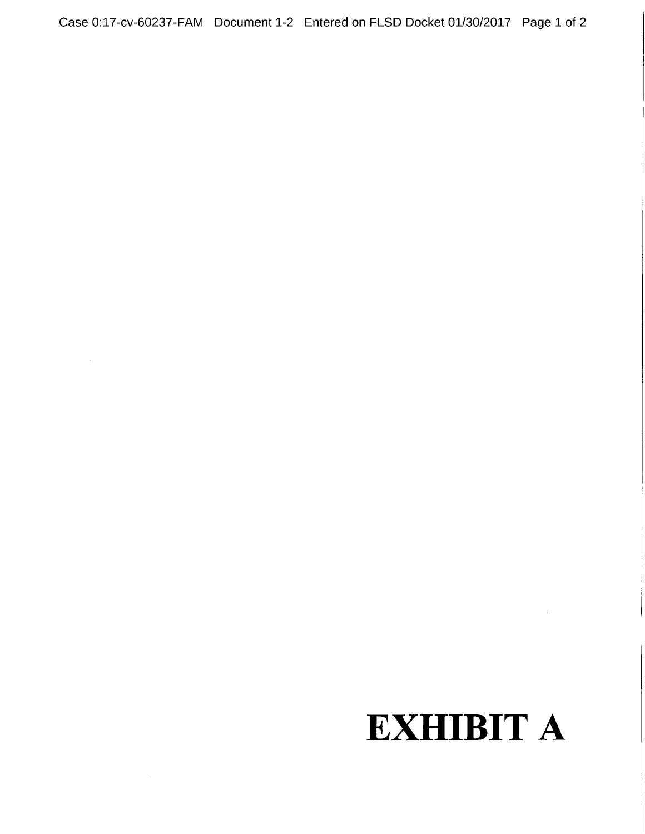Case 0:17-cv-60237-FAM Document 1-2 Entered on FLSD Docket 01/30/2017 Page 1 of 2

# EXHIBIT A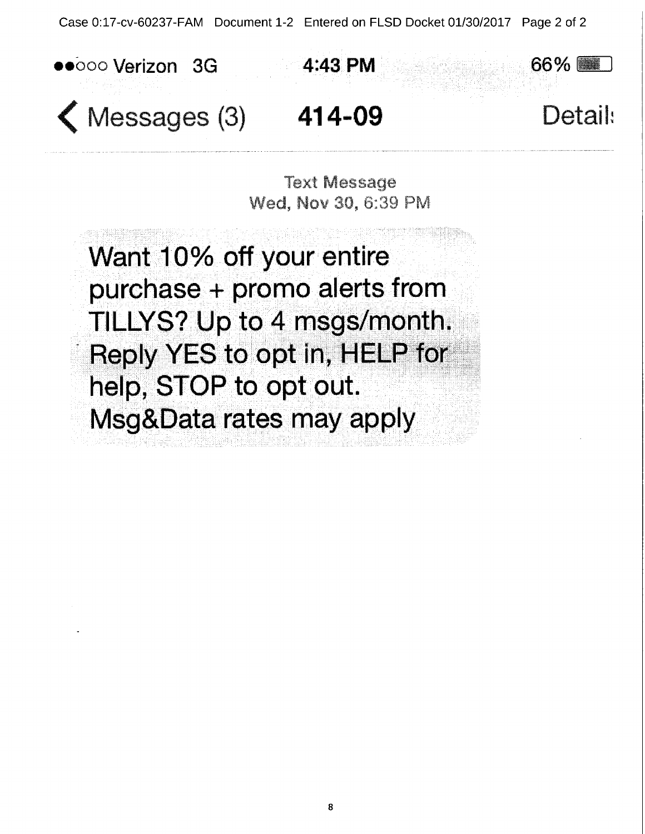Case 0:17-cv-60237-FAM Document 1-2 Entered on FLSD Docket 01/30/2017 Page 2 of 2





 $\bigwedge$  Messages (3)  $414-09$  Detail:

**Text Message** Wed. Nov 30, 6:39 PM

Want 10% off your entire purchase <sup>+</sup> promo alerts from TILLYS? Up to 4 msgs/month. Reply YES to opt in, HELP for help, STOP to opt out. Msg&Data rates may apply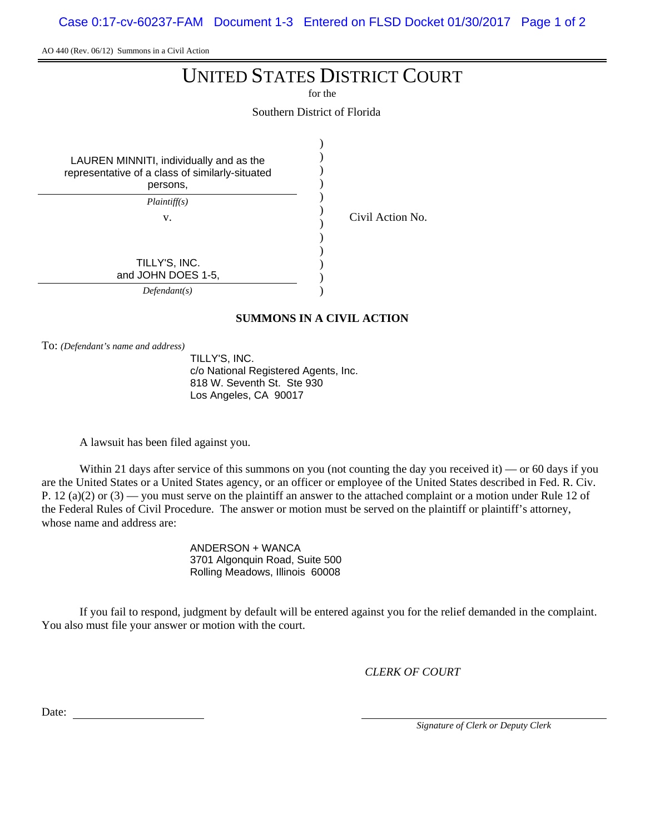Case 0:17-cv-60237-FAM Document 1-3 Entered on FLSD Docket 01/30/2017 Page 1 of 2

AO 440 (Rev. 06/12) Summons in a Civil Action

## UNITED STATES DISTRICT COURT

for the

Southern District of Florida

| LAUREN MINNITI, individually and as the<br>representative of a class of similarly-situated<br>persons, |  |
|--------------------------------------------------------------------------------------------------------|--|
| Plaintiff(s)                                                                                           |  |
| V.                                                                                                     |  |
|                                                                                                        |  |
|                                                                                                        |  |
| TILLY'S, INC.                                                                                          |  |
| and JOHN DOES 1-5,                                                                                     |  |
| Defendant(s)                                                                                           |  |

#### **SUMMONS IN A CIVIL ACTION**

Civil Action No.

To: *(Defendant's name and address)*

TILLY'S, INC. c/o National Registered Agents, Inc. 818 W. Seventh St. Ste 930 Los Angeles, CA 90017

A lawsuit has been filed against you.

Within 21 days after service of this summons on you (not counting the day you received it) — or 60 days if you are the United States or a United States agency, or an officer or employee of the United States described in Fed. R. Civ. P. 12 (a)(2) or  $(3)$  — you must serve on the plaintiff an answer to the attached complaint or a motion under Rule 12 of the Federal Rules of Civil Procedure. The answer or motion must be served on the plaintiff or plaintiff's attorney, whose name and address are:

> ANDERSON + WANCA 3701 Algonquin Road, Suite 500 Rolling Meadows, Illinois 60008

If you fail to respond, judgment by default will be entered against you for the relief demanded in the complaint. You also must file your answer or motion with the court.

*CLERK OF COURT*

Date:

*Signature of Clerk or Deputy Clerk*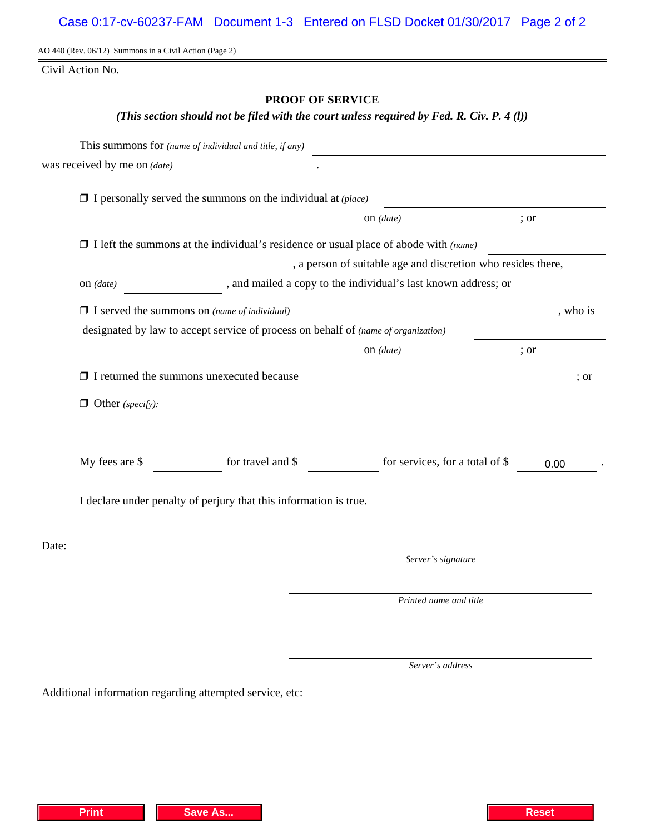AO 440 (Rev. 06/12) Summons in a Civil Action (Page 2)

Civil Action No.

### **PROOF OF SERVICE**

#### *(This section should not be filed with the court unless required by Fed. R. Civ. P. 4 (l))*

|       |                                                                                                                                                                                                                                      | This summons for (name of individual and title, if any)                                     |                                                              |                                                                                                                       |      |      |  |
|-------|--------------------------------------------------------------------------------------------------------------------------------------------------------------------------------------------------------------------------------------|---------------------------------------------------------------------------------------------|--------------------------------------------------------------|-----------------------------------------------------------------------------------------------------------------------|------|------|--|
|       | was received by me on (date)                                                                                                                                                                                                         |                                                                                             |                                                              |                                                                                                                       |      |      |  |
|       |                                                                                                                                                                                                                                      | $\Box$ I personally served the summons on the individual at (place)                         |                                                              | <u> 1989 - Johann Barn, mars ann an t-Amhain an t-Amhain an t-Amhain an t-Amhain an t-Amhain an t-Amhain an t-Amh</u> |      |      |  |
|       |                                                                                                                                                                                                                                      | ; or                                                                                        |                                                              |                                                                                                                       |      |      |  |
|       |                                                                                                                                                                                                                                      | $\Box$ I left the summons at the individual's residence or usual place of abode with (name) |                                                              |                                                                                                                       |      |      |  |
|       |                                                                                                                                                                                                                                      |                                                                                             | , a person of suitable age and discretion who resides there, |                                                                                                                       |      |      |  |
|       | and mailed a copy to the individual's last known address; or<br>on $(data)$                                                                                                                                                          |                                                                                             |                                                              |                                                                                                                       |      |      |  |
|       | $\Box$ I served the summons on (name of individual)                                                                                                                                                                                  |                                                                                             |                                                              |                                                                                                                       |      |      |  |
|       |                                                                                                                                                                                                                                      | designated by law to accept service of process on behalf of (name of organization)          |                                                              |                                                                                                                       |      |      |  |
|       | on $(date)$ ; or                                                                                                                                                                                                                     |                                                                                             |                                                              |                                                                                                                       |      |      |  |
|       |                                                                                                                                                                                                                                      | $\Box$ I returned the summons unexecuted because                                            |                                                              | <u> 1988 - Johann Barbara, martxa amerikan personal (h. 1988).</u>                                                    |      | ; or |  |
|       | $\Box$ Other (specify):                                                                                                                                                                                                              |                                                                                             |                                                              |                                                                                                                       |      |      |  |
|       |                                                                                                                                                                                                                                      |                                                                                             |                                                              |                                                                                                                       |      |      |  |
|       | My fees are \$                                                                                                                                                                                                                       | for travel and \$                                                                           |                                                              | for services, for a total of \$                                                                                       | 0.00 |      |  |
|       | I declare under penalty of perjury that this information is true.                                                                                                                                                                    |                                                                                             |                                                              |                                                                                                                       |      |      |  |
|       |                                                                                                                                                                                                                                      |                                                                                             |                                                              |                                                                                                                       |      |      |  |
| Date: | <u>and the state of the state of the state of the state of the state of the state of the state of the state of the state of the state of the state of the state of the state of the state of the state of the state of the state</u> |                                                                                             |                                                              | Server's signature                                                                                                    |      |      |  |
|       |                                                                                                                                                                                                                                      |                                                                                             |                                                              | Printed name and title                                                                                                |      |      |  |
|       |                                                                                                                                                                                                                                      |                                                                                             |                                                              |                                                                                                                       |      |      |  |

*Server's address*

Additional information regarding attempted service, etc: